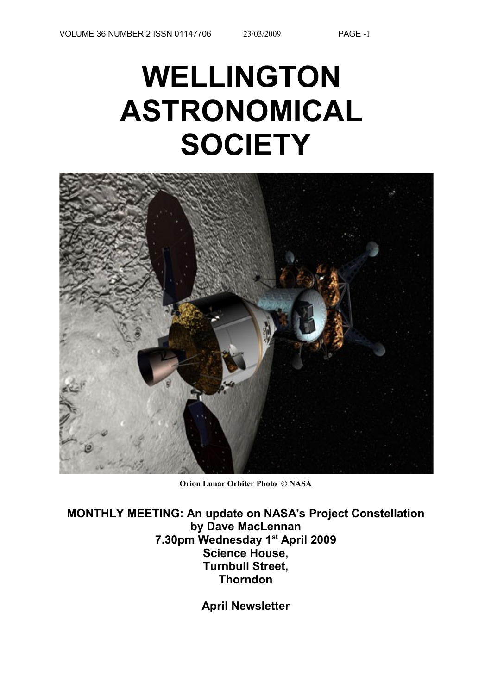# **WELLINGTON ASTRONOMICAL SOCIETY**



**Orion Lunar Orbiter Photo © NASA**

**MONTHLY MEETING: An update on NASA's Project Constellation by Dave MacLennan 7.30pm Wednesday 1st April 2009 Science House, Turnbull Street, Thorndon**

**April Newsletter**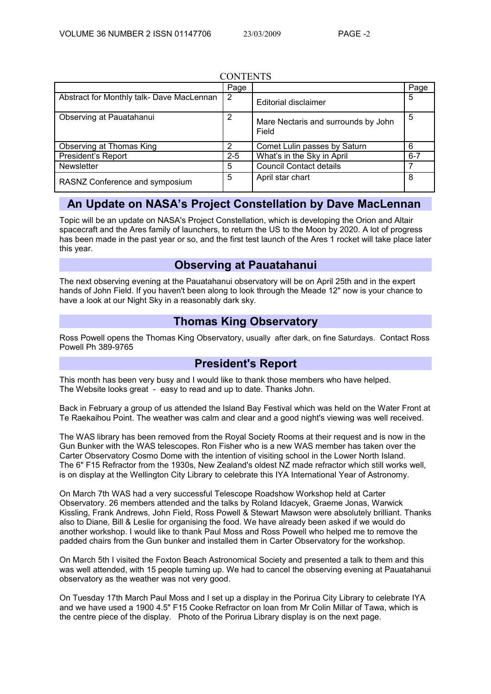#### **CONTENTS**

|                                           | Page    |                                              | Page    |
|-------------------------------------------|---------|----------------------------------------------|---------|
| Abstract for Monthly talk- Dave MacLennan | 2       | <b>Editorial disclaimer</b>                  | 5       |
| Observing at Pauatahanui                  | 2       | Mare Nectaris and surrounds by John<br>Field | 5       |
| Observing at Thomas King                  | 2       | Comet Lulin passes by Saturn                 | 6       |
| <b>President's Report</b>                 | $2 - 5$ | What's in the Sky in April                   | $6 - 7$ |
| <b>Newsletter</b>                         | 5       | <b>Council Contact details</b>               |         |
| RASNZ Conference and symposium            | 5       | April star chart                             | 8       |

# **An Update on NASA's Project Constellation by Dave MacLennan**

Topic will be an update on NASA's Project Constellation, which is developing the Orion and Altair spacecraft and the Ares family of launchers, to return the US to the Moon by 2020. A lot of progress has been made in the past year or so, and the first test launch of the Ares 1 rocket will take place later this year.

# **Observing at Pauatahanui**

The next observing evening at the Pauatahanui observatory will be on April 25th and in the expert hands of John Field. If you haven't been along to look through the Meade 12" now is your chance to have a look at our Night Sky in a reasonably dark sky.

# **Thomas King Observatory**

Ross Powell opens the Thomas King Observatory, usually after dark, on fine Saturdays. Contact Ross Powell Ph 389-9765

## **President's Report**

This month has been very busy and I would like to thank those members who have helped. The Website looks great - easy to read and up to date. Thanks John.

Back in February a group of us attended the Island Bay Festival which was held on the Water Front at Te Raekaihou Point. The weather was calm and clear and a good night's viewing was well received.

The WAS library has been removed from the Royal Society Rooms at their request and is now in the Gun Bunker with the WAS telescopes. Ron Fisher who is a new WAS member has taken over the Carter Observatory Cosmo Dome with the intention of visiting school in the Lower North Island. The 6" F15 Refractor from the 1930s, New Zealand's oldest NZ made refractor which still works well, is on display at the Wellington City Library to celebrate this IYA International Year of Astronomy.

On March 7th WAS had a very successful Telescope Roadshow Workshop held at Carter Observatory. 26 members attended and the talks by Roland Idacyek, Graeme Jonas, Warwick Kissling, Frank Andrews, John Field, Ross Powell & Stewart Mawson were absolutely brilliant. Thanks also to Diane, Bill & Leslie for organising the food. We have already been asked if we would do another workshop. I would like to thank Paul Moss and Ross Powell who helped me to remove the padded chairs from the Gun bunker and installed them in Carter Observatory for the workshop.

On March 5th I visited the Foxton Beach Astronomical Society and presented a talk to them and this was well attended, with 15 people turning up. We had to cancel the observing evening at Pauatahanui observatory as the weather was not very good.

On Tuesday 17th March Paul Moss and I set up a display in the Porirua City Library to celebrate IYA and we have used a 1900 4.5" F15 Cooke Refractor on loan from Mr Colin Millar of Tawa, which is the centre piece of the display. Photo of the Porirua Library display is on the next page.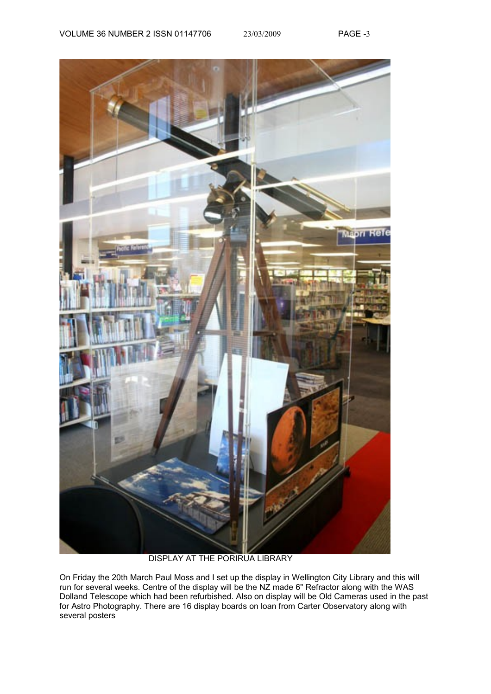

DISPLAY AT THE PORIRUA LIBRARY

On Friday the 20th March Paul Moss and I set up the display in Wellington City Library and this will run for several weeks. Centre of the display will be the NZ made 6" Refractor along with the WAS Dolland Telescope which had been refurbished. Also on display will be Old Cameras used in the past for Astro Photography. There are 16 display boards on loan from Carter Observatory along with several posters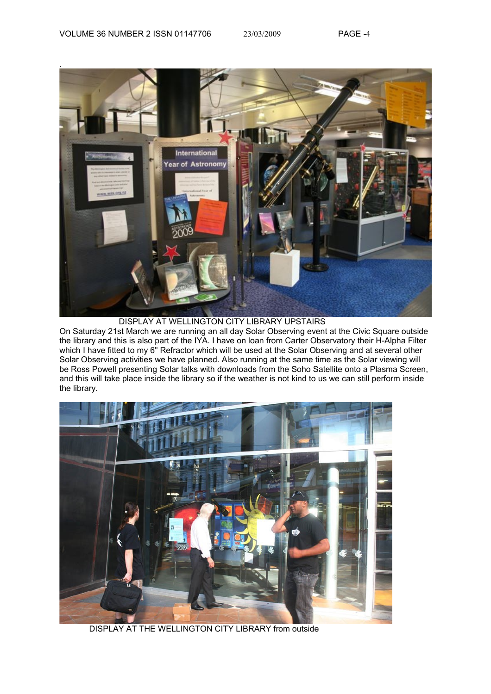

DISPLAY AT WELLINGTON CITY LIBRARY UPSTAIRS

On Saturday 21st March we are running an all day Solar Observing event at the Civic Square outside the library and this is also part of the IYA. I have on loan from Carter Observatory their H-Alpha Filter which I have fitted to my 6" Refractor which will be used at the Solar Observing and at several other Solar Observing activities we have planned. Also running at the same time as the Solar viewing will be Ross Powell presenting Solar talks with downloads from the Soho Satellite onto a Plasma Screen, and this will take place inside the library so if the weather is not kind to us we can still perform inside the library.



DISPLAY AT THE WELLINGTON CITY LIBRARY from outside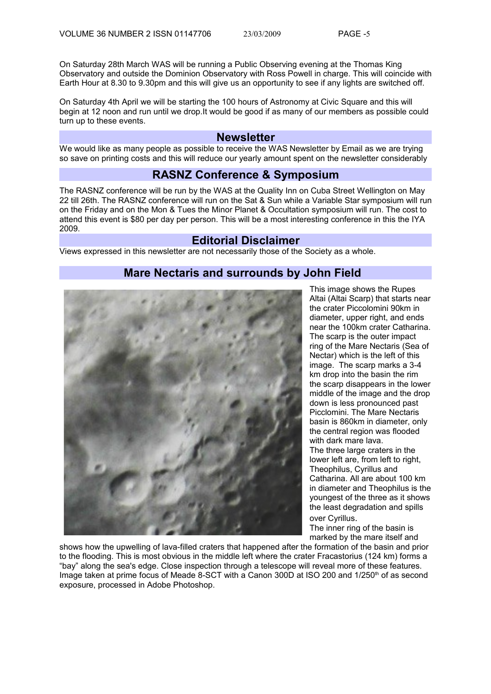On Saturday 28th March WAS will be running a Public Observing evening at the Thomas King Observatory and outside the Dominion Observatory with Ross Powell in charge. This will coincide with Earth Hour at 8.30 to 9.30pm and this will give us an opportunity to see if any lights are switched off.

On Saturday 4th April we will be starting the 100 hours of Astronomy at Civic Square and this will begin at 12 noon and run until we drop.It would be good if as many of our members as possible could turn up to these events.

#### **Newsletter**

We would like as many people as possible to receive the WAS Newsletter by Email as we are trying so save on printing costs and this will reduce our yearly amount spent on the newsletter considerably

### **RASNZ Conference & Symposium**

The RASNZ conference will be run by the WAS at the Quality Inn on Cuba Street Wellington on May 22 till 26th. The RASNZ conference will run on the Sat & Sun while a Variable Star symposium will run on the Friday and on the Mon & Tues the Minor Planet & Occultation symposium will run. The cost to attend this event is \$80 per day per person. This will be a most interesting conference in this the IYA 2009.

#### **Editorial Disclaimer**

Views expressed in this newsletter are not necessarily those of the Society as a whole.

## **Mare Nectaris and surrounds by John Field**



This image shows the Rupes Altai (Altai Scarp) that starts near the crater Piccolomini 90km in diameter, upper right, and ends near the 100km crater Catharina. The scarp is the outer impact ring of the Mare Nectaris (Sea of Nectar) which is the left of this image. The scarp marks a 3-4 km drop into the basin the rim the scarp disappears in the lower middle of the image and the drop down is less pronounced past Picclomini. The Mare Nectaris basin is 860km in diameter, only the central region was flooded with dark mare lava. The three large craters in the lower left are, from left to right, Theophilus, Cyrillus and Catharina. All are about 100 km in diameter and Theophilus is the youngest of the three as it shows the least degradation and spills over Cyrillus.

The inner ring of the basin is marked by the mare itself and

shows how the upwelling of lava-filled craters that happened after the formation of the basin and prior to the flooding. This is most obvious in the middle left where the crater Fracastorius (124 km) forms a "bay" along the sea's edge. Close inspection through a telescope will reveal more of these features. Image taken at prime focus of Meade 8-SCT with a Canon 300D at ISO 200 and 1/250<sup>th</sup> of as second exposure, processed in Adobe Photoshop.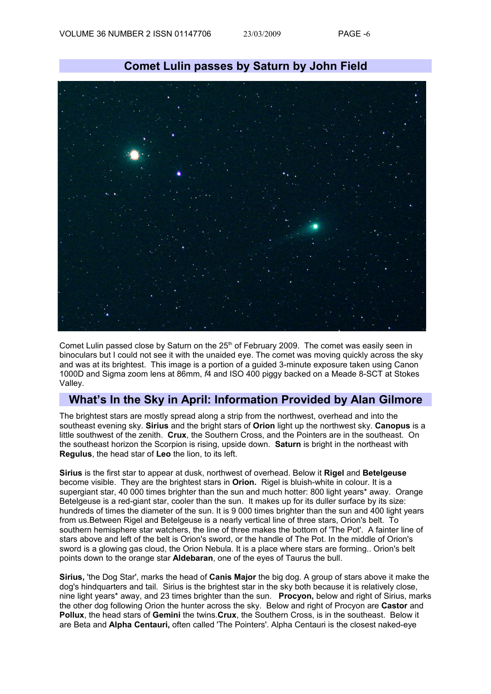

Comet Lulin passed close by Saturn on the  $25<sup>th</sup>$  of February 2009. The comet was easily seen in binoculars but I could not see it with the unaided eye. The comet was moving quickly across the sky and was at its brightest. This image is a portion of a guided 3-minute exposure taken using Canon 1000D and Sigma zoom lens at 86mm, *f*4 and ISO 400 piggy backed on a Meade 8-SCT at Stokes Valley.

## **What's In the Sky in April: Information Provided by Alan Gilmore**

The brightest stars are mostly spread along a strip from the northwest, overhead and into the southeast evening sky. **Sirius** and the bright stars of **Orion** light up the northwest sky. **Canopus** is a little southwest of the zenith. **Crux**, the Southern Cross, and the Pointers are in the southeast. On the southeast horizon the Scorpion is rising, upside down. **Saturn** is bright in the northeast with **Regulus**, the head star of **Leo** the lion, to its left.

**Sirius** is the first star to appear at dusk, northwest of overhead. Below it **Rigel** and **Betelgeuse** become visible. They are the brightest stars in **Orion.** Rigel is bluish-white in colour. It is a supergiant star, 40 000 times brighter than the sun and much hotter: 800 light years\* away. Orange Betelgeuse is a red-giant star, cooler than the sun. It makes up for its duller surface by its size: hundreds of times the diameter of the sun. It is 9 000 times brighter than the sun and 400 light years from us.Between Rigel and Betelgeuse is a nearly vertical line of three stars, Orion's belt. To southern hemisphere star watchers, the line of three makes the bottom of 'The Pot'. A fainter line of stars above and left of the belt is Orion's sword, or the handle of The Pot. In the middle of Orion's sword is a glowing gas cloud, the Orion Nebula. It is a place where stars are forming.. Orion's belt points down to the orange star **Aldebaran**, one of the eyes of Taurus the bull.

**Sirius,** 'the Dog Star', marks the head of **Canis Major** the big dog. A group of stars above it make the dog's hindquarters and tail. Sirius is the brightest star in the sky both because it is relatively close, nine light years\* away, and 23 times brighter than the sun. **Procyon,** below and right of Sirius, marks the other dog following Orion the hunter across the sky. Below and right of Procyon are **Castor** and **Pollux**, the head stars of **Gemini** the twins.**Crux**, the Southern Cross, is in the southeast. Below it are Beta and **Alpha Centauri,** often called 'The Pointers'. Alpha Centauri is the closest naked-eye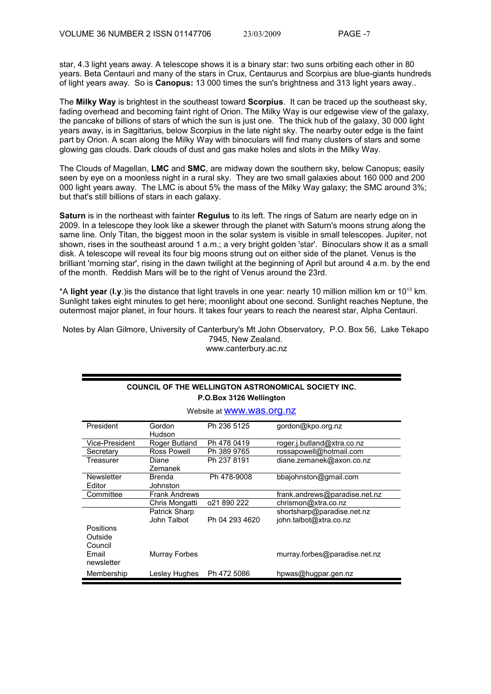star, 4.3 light years away. A telescope shows it is a binary star: two suns orbiting each other in 80 years. Beta Centauri and many of the stars in Crux, Centaurus and Scorpius are blue-giants hundreds of light years away. So is **Canopus:** 13 000 times the sun's brightness and 313 light years away..

The **Milky Way** is brightest in the southeast toward **Scorpius**. It can be traced up the southeast sky, fading overhead and becoming faint right of Orion. The Milky Way is our edgewise view of the galaxy, the pancake of billions of stars of which the sun is just one. The thick hub of the galaxy, 30 000 light years away, is in Sagittarius, below Scorpius in the late night sky. The nearby outer edge is the faint part by Orion. A scan along the Milky Way with binoculars will find many clusters of stars and some glowing gas clouds. Dark clouds of dust and gas make holes and slots in the Milky Way.

The Clouds of Magellan, **LMC** and **SMC**, are midway down the southern sky, below Canopus; easily seen by eye on a moonless night in a rural sky. They are two small galaxies about 160 000 and 200 000 light years away. The LMC is about 5% the mass of the Milky Way galaxy; the SMC around 3%; but that's still billions of stars in each galaxy.

**Saturn** is in the northeast with fainter **Regulus** to its left. The rings of Saturn are nearly edge on in 2009. In a telescope they look like a skewer through the planet with Saturn's moons strung along the same line. Only Titan, the biggest moon in the solar system is visible in small telescopes. Jupiter, not shown, rises in the southeast around 1 a.m.; a very bright golden 'star'. Binoculars show it as a small disk. A telescope will reveal its four big moons strung out on either side of the planet. Venus is the brilliant 'morning star', rising in the dawn twilight at the beginning of April but around 4 a.m. by the end of the month. Reddish Mars will be to the right of Venus around the 23rd.

\*A **light year** (**l.y**.)is the distance that light travels in one year: nearly 10 million million km or 10<sup>13</sup> km. Sunlight takes eight minutes to get here; moonlight about one second. Sunlight reaches Neptune, the outermost major planet, in four hours. It takes four years to reach the nearest star, Alpha Centauri.

Notes by Alan Gilmore, University of Canterbury's Mt John Observatory, P.O. Box 56, Lake Tekapo 7945, New Zealand. www.canterbury.ac.nz

#### **COUNCIL OF THE WELLINGTON ASTRONOMICAL SOCIETY INC. P.O.Box 3126 Wellington**

Website at [www.was.org.nz](http://astronomy.wellington.net.nz/)

| President        | Gordon               | Ph 236 5125    | gordon@kpo.org.nz             |
|------------------|----------------------|----------------|-------------------------------|
|                  | Hudson               |                |                               |
|                  |                      |                |                               |
| Vice-President   | Roger Butland        | Ph 478 0419    | roger.j.butland@xtra.co.nz    |
| Secretary        | Ross Powell          | Ph 389 9765    | rossapowell@hotmail.com       |
| Treasurer        | Diane                | Ph 237 8191    | diane.zemanek@axon.co.nz      |
|                  | Zemanek              |                |                               |
| Newsletter       | <b>Brenda</b>        | Ph 478-9008    | bbajohnston@gmail.com         |
| Editor           | Johnston             |                |                               |
| Committee        | <b>Frank Andrews</b> |                | frank.andrews@paradise.net.nz |
|                  | Chris Mongatti       | 021 890 222    | chrismon@xtra.co.nz           |
|                  | Patrick Sharp        |                | shortsharp@paradise.net.nz    |
|                  | John Talbot          | Ph 04 293 4620 | john.talbot@xtra.co.nz        |
| <b>Positions</b> |                      |                |                               |
| Outside          |                      |                |                               |
| Council          |                      |                |                               |
| Email            | <b>Murray Forbes</b> |                | murray.forbes@paradise.net.nz |
| newsletter       |                      |                |                               |
|                  |                      |                |                               |
| Membership       | Lesley Hughes        | Ph 472 5086    | hpwas@hugpar.gen.nz           |